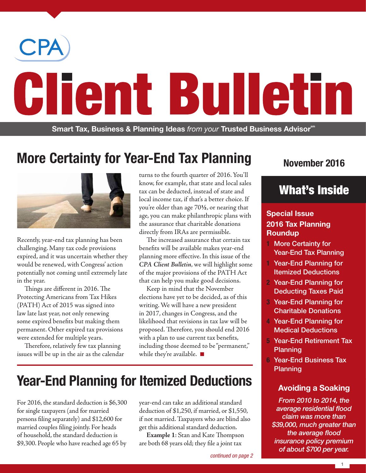

# **More Certainty for Year-End Tax Planning**



Recently, year-end tax planning has been challenging. Many tax code provisions expired, and it was uncertain whether they would be renewed, with Congress' action potentially not coming until extremely late in the year.

Things are different in 2016. The Protecting Americans from Tax Hikes (PATH) Act of 2015 was signed into law late last year, not only renewing some expired benefits but making them permanent. Other expired tax provisions were extended for multiple years.

Therefore, relatively few tax planning issues will be up in the air as the calendar turns to the fourth quarter of 2016. You'll know, for example, that state and local sales tax can be deducted, instead of state and local income tax, if that's a better choice. If you're older than age 70**½**, or nearing that age, you can make philanthropic plans with the assurance that charitable donations directly from IRAs are permissible.

The increased assurance that certain tax benefits will be available makes year-end planning more effective. In this issue of the *CPA Client Bulletin*, we will highlight some of the major provisions of the PATH Act that can help you make good decisions.

Keep in mind that the November elections have yet to be decided, as of this writing. We will have a new president in 2017, changes in Congress, and the likelihood that revisions in tax law will be proposed. Therefore, you should end 2016 with a plan to use current tax benefits, including those deemed to be "permanent," while they're available.  $\blacksquare$ 

### **November 2016**

### What's Inside

### **Special Issue 2016 Tax Planning Roundup**

- **1** More Certainty for Year-End Tax Planning
- **1** Year-End Planning for Itemized Deductions
- **2** Year-End Planning for Deducting Taxes Paid
- **3** Year-End Planning for Charitable Donations
- **4** Year-End Planning for Medical Deductions
- **5** Year-End Retirement Tax Planning
- **6** Year-End Business Tax Planning

### **Avoiding a Soaking**

*From 2010 to 2014, the average residential flood claim was more than \$39,000, much greater than the average flood insurance policy premium of about \$700 per year.*

# **Year-End Planning for Itemized Deductions**

For 2016, the standard deduction is \$6,300 for single taxpayers (and for married persons filing separately) and \$12,600 for married couples filing jointly. For heads of household, the standard deduction is \$9,300. People who have reached age 65 by

year-end can take an additional standard deduction of \$1,250, if married, or \$1,550, if not married. Taxpayers who are blind also get this additional standard deduction.

**Example 1**: Stan and Kate Thompson are both 68 years old; they file a joint tax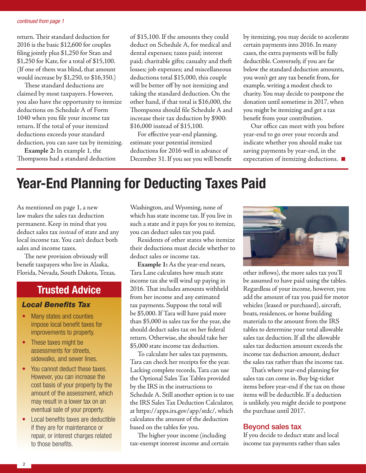#### *continued from page 1*

return. Their standard deduction for 2016 is the basic \$12,600 for couples filing jointly plus \$1,250 for Stan and \$1,250 for Kate, for a total of \$15,100. (If one of them was blind, that amount would increase by \$1,250, to \$16,350.)

These standard deductions are claimed by most taxpayers. However, you also have the opportunity to itemize deductions on Schedule A of Form 1040 when you file your income tax return. If the total of your itemized deductions exceeds your standard deduction, you can save tax by itemizing.

**Example 2:** In example 1, the Thompsons had a standard deduction of \$15,100. If the amounts they could deduct on Schedule A, for medical and dental expenses; taxes paid; interest paid; charitable gifts; casualty and theft losses; job expenses; and miscellaneous deductions total \$15,000, this couple will be better off by not itemizing and taking the standard deduction. On the other hand, if that total is \$16,000, the Thompsons should file Schedule A and increase their tax deduction by \$900: \$16,000 instead of \$15,100.

For effective year-end planning, estimate your potential itemized deductions for 2016 well in advance of December 31. If you see you will benefit by itemizing, you may decide to accelerate certain payments into 2016. In many cases, the extra payments will be fully deductible. Conversely, if you are far below the standard deduction amounts, you won't get any tax benefit from, for example, writing a modest check to charity. You may decide to postpone the donation until sometime in 2017, when you might be itemizing and get a tax benefit from your contribution.

Our office can meet with you before year-end to go over your records and indicate whether you should make tax saving payments by year-end, in the expectation of itemizing deductions.  $\square$ 

## **Year-End Planning for Deducting Taxes Paid**

As mentioned on page 1, a new law makes the sales tax deduction permanent. Keep in mind that you deduct sales tax *instead* of state and any local income tax. You can't deduct both sales and income taxes.

The new provision obviously will benefit taxpayers who live in Alaska, Florida, Nevada, South Dakota, Texas,

### **Trusted Advice**

#### *Local Benefits Tax*

- Many states and counties impose local benefit taxes for improvements to property.
- These taxes might be assessments for streets, sidewalks, and sewer lines.
- You cannot deduct these taxes. However, you can increase the cost basis of your property by the amount of the assessment, which may result in a lower tax on an eventual sale of your property.
- Local benefits taxes are deductible if they are for maintenance or repair, or interest charges related to those benefits.

Washington, and Wyoming, none of which has state income tax. If you live in such a state and it pays for you to itemize, you can deduct sales tax you paid.

Residents of other states who itemize their deductions must decide whether to deduct sales or income tax.

**Example 1:** As the year-end nears, Tara Lane calculates how much state income tax she will wind up paying in 2016. That includes amounts withheld from her income and any estimated tax payments. Suppose the total will be \$5,000. If Tara will have paid more than \$5,000 in sales tax for the year, she should deduct sales tax on her federal return. Otherwise, she should take her \$5,000 state income tax deduction.

To calculate her sales tax payments, Tara can check her receipts for the year. Lacking complete records, Tara can use the Optional Sales Tax Tables provided by the IRS in the instructions to Schedule A. Still another option is to use the IRS Sales Tax Deduction Calculator, at https://apps.irs.gov/app/stdc/, which calculates the amount of the deduction based on the tables for you.

The higher your income (including tax-exempt interest income and certain



other inflows), the more sales tax you'll be assumed to have paid using the tables. Regardless of your income, however, you add the amount of tax you paid for motor vehicles (leased or purchased), aircraft, boats, residences, or home building materials to the amount from the IRS tables to determine your total allowable sales tax deduction. If all the allowable sales tax deduction amount exceeds the income tax deduction amount, deduct the sales tax rather than the income tax.

That's where year-end planning for sales tax can come in. Buy big-ticket items before year-end if the tax on those items will be deductible. If a deduction is unlikely, you might decide to postpone the purchase until 2017.

#### Beyond sales tax

If you decide to deduct state and local income tax payments rather than sales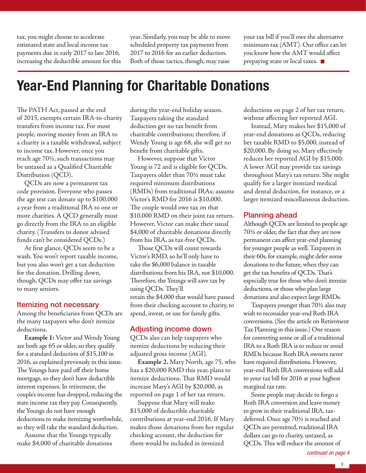tax, you might choose to accelerate estimated state and local income tax payments due in early 2017 to late 2016, increasing the deductible amount for this year. Similarly, you may be able to move scheduled property tax payments from 2017 to 2016 for an earlier deduction. Both of those tactics, though, may raise

your tax bill if you'll owe the alternative minimum tax (AMT). Our office can let you know how the AMT would affect prepaying state or local taxes.

## **Year-End Planning for Charitable Donations**

The PATH Act, passed at the end of 2015, exempts certain IRA-to-charity transfers from income tax. For most people, moving money from an IRA to a charity is a taxable withdrawal, subject to income tax. However, once you reach age 70½, such transactions may be untaxed as a Qualified Charitable Distribution (QCD).

QCDs are now a permanent tax code provision. Everyone who passes the age test can donate up to \$100,000 a year from a traditional IRA to one or more charities. A QCD generally must go directly from the IRA to an eligible charity. (Transfers to donor advised funds can't be considered QCDs.)

At first glance, QCDs seem to be a wash. You won't report taxable income, but you also won't get a tax deduction for the donation. Drilling down, though, QCDs may offer tax savings to many seniors.

#### Itemizing not necessary

Among the beneficiaries from QCDs are the many taxpayers who don't itemize deductions.

**Example 1:** Victor and Wendy Young are both age 65 or older, so they qualify for a standard deduction of \$15,100 in 2016, as explained previously in this issue. The Youngs have paid off their home mortgage, so they don't have deductible interest expenses. In retirement, the couple's income has dropped, reducing the state income tax they pay. Consequently, the Youngs do not have enough deductions to make itemizing worthwhile, so they will take the standard deduction.

Assume that the Youngs typically make \$4,000 of charitable donations

during the year-end holiday season. Taxpayers taking the standard deduction get no tax benefit from charitable contributions; therefore, if Wendy Young is age 68, she will get no benefit from charitable gifts.

However, suppose that Victor Young is 72 and is eligible for QCDs. Taxpayers older than 70½ must take required minimum distributions (RMDs) from traditional IRAs; assume Victor's RMD for 2016 is \$10,000. The couple would owe tax on that \$10,000 RMD on their joint tax return. However, Victor can make their usual \$4,000 of charitable donations directly from his IRA, as tax-free QCDs.

Those QCDs will count towards Victor's RMD, so he'll only have to take the \$6,000 balance in taxable distributions from his IRA, not \$10,000. Therefore, the Youngs will save tax by using QCDs. They'll retain the \$4,000 that would have passed from their checking account to charity, to spend, invest, or use for family gifts.

### Adjusting income down

QCDs also can help taxpayers who itemize deductions by reducing their adjusted gross income (AGI).

**Example 2.** Mary North, age 75, who has a \$20,000 RMD this year, plans to itemize deductions. That RMD would increase Mary's AGI by \$20,000, as reported on page 1 of her tax return.

Suppose that Mary will make \$15,000 of deductible charitable contributions at year-end 2016. If Mary makes those donations from her regular checking account, the deduction for them would be included in itemized

deductions on page 2 of her tax return, without affecting her reported AGI.

Instead, Mary makes her \$15,000 of year-end donations as QCDs, reducing her taxable RMD to \$5,000, instead of \$20,000. By doing so, Mary effectively reduces her reported AGI by \$15,000. A lower AGI may provide tax savings throughout Mary's tax return. She might qualify for a larger itemized medical and dental deduction, for instance, or a larger itemized miscellaneous deduction.

#### Planning ahead

Although QCDs are limited to people age 70½ or older, the fact that they are now permanent can affect year-end planning for younger people as well. Taxpayers in their 60s, for example, might defer some donations to the future, when they can get the tax benefits of QCDs. That's especially true for those who don't itemize deductions, or those who plan large donations and also expect large RMDs.

Taxpayers younger than 70½ also may wish to reconsider year-end Roth IRA conversions. (See the article on Retirement Tax Planning in this issue.) One reason for converting some or all of a traditional IRA to a Roth IRA is to reduce or avoid RMDs because Roth IRA owners never have required distributions. However, year-end Roth IRA conversions will add to your tax bill for 2016 at your highest marginal tax rate.

Some people may decide to forgo a Roth IRA conversion and leave money to grow in their traditional IRA, taxdeferred. Once age 70½ is reached and QCDs are permitted, traditional IRA dollars can go to charity, untaxed, as QCDs. This will reduce the amount of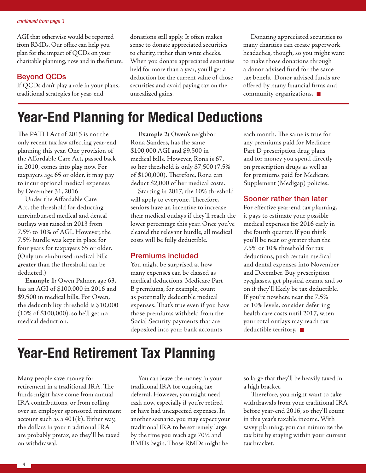AGI that otherwise would be reported from RMDs. Our office can help you plan for the impact of QCDs on your charitable planning, now and in the future.

#### Beyond QCDs

If QCDs don't play a role in your plans, traditional strategies for year-end

donations still apply. It often makes sense to donate appreciated securities to charity, rather than write checks. When you donate appreciated securities held for more than a year, you'll get a deduction for the current value of those securities and avoid paying tax on the unrealized gains.

Donating appreciated securities to many charities can create paperwork headaches, though, so you might want to make those donations through a donor advised fund for the same tax benefit. Donor advised funds are offered by many financial firms and community organizations.  $\blacksquare$ 

# **Year-End Planning for Medical Deductions**

The PATH Act of 2015 is not the only recent tax law affecting year-end planning this year. One provision of the Affordable Care Act, passed back in 2010, comes into play now. For taxpayers age 65 or older, it may pay to incur optional medical expenses by December 31, 2016.

Under the Affordable Care Act, the threshold for deducting unreimbursed medical and dental outlays was raised in 2013 from 7.5% to 10% of AGI. However, the 7.5% hurdle was kept in place for four years for taxpayers 65 or older. (Only unreimbursed medical bills greater than the threshold can be deducted.)

**Example 1:** Owen Palmer, age 63, has an AGI of \$100,000 in 2016 and \$9,500 in medical bills. For Owen, the deductibility threshold is \$10,000 (10% of \$100,000), so he'll get no medical deduction.

**Example 2:** Owen's neighbor Rona Sanders, has the same \$100,000 AGI and \$9,500 in medical bills. However, Rona is 67, so her threshold is only \$7,500 (7.5% of \$100,000). Therefore, Rona can deduct \$2,000 of her medical costs.

Starting in 2017, the 10% threshold will apply to everyone. Therefore, seniors have an incentive to increase their medical outlays if they'll reach the lower percentage this year. Once you've cleared the relevant hurdle, all medical costs will be fully deductible.

### Premiums included

You might be surprised at how many expenses can be classed as medical deductions. Medicare Part B premiums, for example, count as potentially deductible medical expenses. That's true even if you have those premiums withheld from the Social Security payments that are deposited into your bank accounts

each month. The same is true for any premiums paid for Medicare Part D prescription drug plans and for money you spend directly on prescription drugs as well as for premiums paid for Medicare Supplement (Medigap) policies.

### Sooner rather than later

For effective year-end tax planning, it pays to estimate your possible medical expenses for 2016 early in the fourth quarter. If you think you'll be near or greater than the 7.5% or 10% threshold for tax deductions, push certain medical and dental expenses into November and December. Buy prescription eyeglasses, get physical exams, and so on if they'll likely be tax deductible. If you're nowhere near the 7.5% or 10% levels, consider deferring health care costs until 2017, when your total outlays may reach tax deductible territory.  $\blacksquare$ 

# **Year-End Retirement Tax Planning**

Many people save money for retirement in a traditional IRA. The funds might have come from annual IRA contributions, or from rolling over an employer sponsored retirement account such as a  $401(k)$ . Either way, the dollars in your traditional IRA are probably pretax, so they'll be taxed on withdrawal.

You can leave the money in your traditional IRA for ongoing tax deferral. However, you might need cash now, especially if you're retired or have had unexpected expenses. In another scenario, you may expect your traditional IRA to be extremely large by the time you reach age 70½ and RMDs begin. Those RMDs might be

so large that they'll be heavily taxed in a high bracket.

Therefore, you might want to take withdrawals from your traditional IRA before year-end 2016, so they'll count in this year's taxable income. With savvy planning, you can minimize the tax bite by staying within your current tax bracket.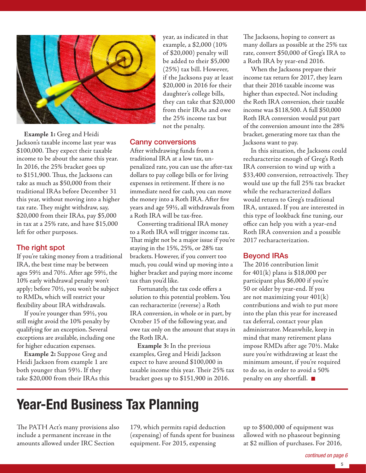

**Example 1:** Greg and Heidi Jackson's taxable income last year was \$100,000. They expect their taxable income to be about the same this year. In 2016, the 25% bracket goes up to \$151,900. Thus, the Jacksons can take as much as \$50,000 from their traditional IRAs before December 31 this year, without moving into a higher tax rate. They might withdraw, say, \$20,000 from their IRAs, pay \$5,000 in tax at a 25% rate, and have \$15,000 left for other purposes.

#### The right spot

If you're taking money from a traditional IRA, the best time may be between ages 59½ and 70½. After age 59½, the 10% early withdrawal penalty won't apply; before 70½, you won't be subject to RMDs, which will restrict your flexibility about IRA withdrawals.

If you're younger than 59½, you still might avoid the 10% penalty by qualifying for an exception. Several exceptions are available, including one for higher education expenses.

**Example 2:** Suppose Greg and Heidi Jackson from example 1 are both younger than 59½. If they take \$20,000 from their IRAs this

year, as indicated in that example, a \$2,000 (10% of \$20,000) penalty will be added to their \$5,000 (25%) tax bill. However, if the Jacksons pay at least \$20,000 in 2016 for their daughter's college bills, they can take that \$20,000 from their IRAs and owe the 25% income tax but not the penalty.

#### Canny conversions

After withdrawing funds from a traditional IRA at a low tax, unpenalized rate, you can use the after-tax dollars to pay college bills or for living expenses in retirement. If there is no immediate need for cash, you can move the money into a Roth IRA. After five years and age 59½, all withdrawals from a Roth IRA will be tax-free.

Converting traditional IRA money to a Roth IRA will trigger income tax. That might not be a major issue if you're staying in the 15%, 25%, or 28% tax brackets. However, if you convert too much, you could wind up moving into a higher bracket and paying more income tax than you'd like.

Fortunately, the tax code offers a solution to this potential problem. You can recharacterize (reverse) a Roth IRA conversion, in whole or in part, by October 15 of the following year, and owe tax only on the amount that stays in the Roth IRA.

**Example 3:** In the previous examples, Greg and Heidi Jackson expect to have around \$100,000 in taxable income this year. Their 25% tax bracket goes up to \$151,900 in 2016.

The Jacksons, hoping to convert as many dollars as possible at the 25% tax rate, convert \$50,000 of Greg's IRA to a Roth IRA by year-end 2016.

When the Jacksons prepare their income tax return for 2017, they learn that their 2016 taxable income was higher than expected. Not including the Roth IRA conversion, their taxable income was \$118,500. A full \$50,000 Roth IRA conversion would put part of the conversion amount into the 28% bracket, generating more tax than the Jacksons want to pay.

In this situation, the Jacksons could recharacterize enough of Greg's Roth IRA conversion to wind up with a \$33,400 conversion, retroactively. They would use up the full 25% tax bracket while the recharacterized dollars would return to Greg's traditional IRA, untaxed. If you are interested in this type of lookback fine tuning, our office can help you with a year-end Roth IRA conversion and a possible 2017 recharacterization.

#### Beyond IRAs

The 2016 contribution limit for  $401(k)$  plans is \$18,000 per participant plus \$6,000 if you're 50 or older by year-end. If you are not maximizing your 401(k) contributions and wish to put more into the plan this year for increased tax deferral, contact your plan administrator. Meanwhile, keep in mind that many retirement plans impose RMDs after age 70½. Make sure you're withdrawing at least the minimum amount, if you're required to do so, in order to avoid a 50% penalty on any shortfall.  $\blacksquare$ 

# **Year-End Business Tax Planning**

The PATH Act's many provisions also include a permanent increase in the amounts allowed under IRC Section

179, which permits rapid deduction (expensing) of funds spent for business equipment. For 2015, expensing

up to \$500,000 of equipment was allowed with no phaseout beginning at \$2 million of purchases. For 2016,